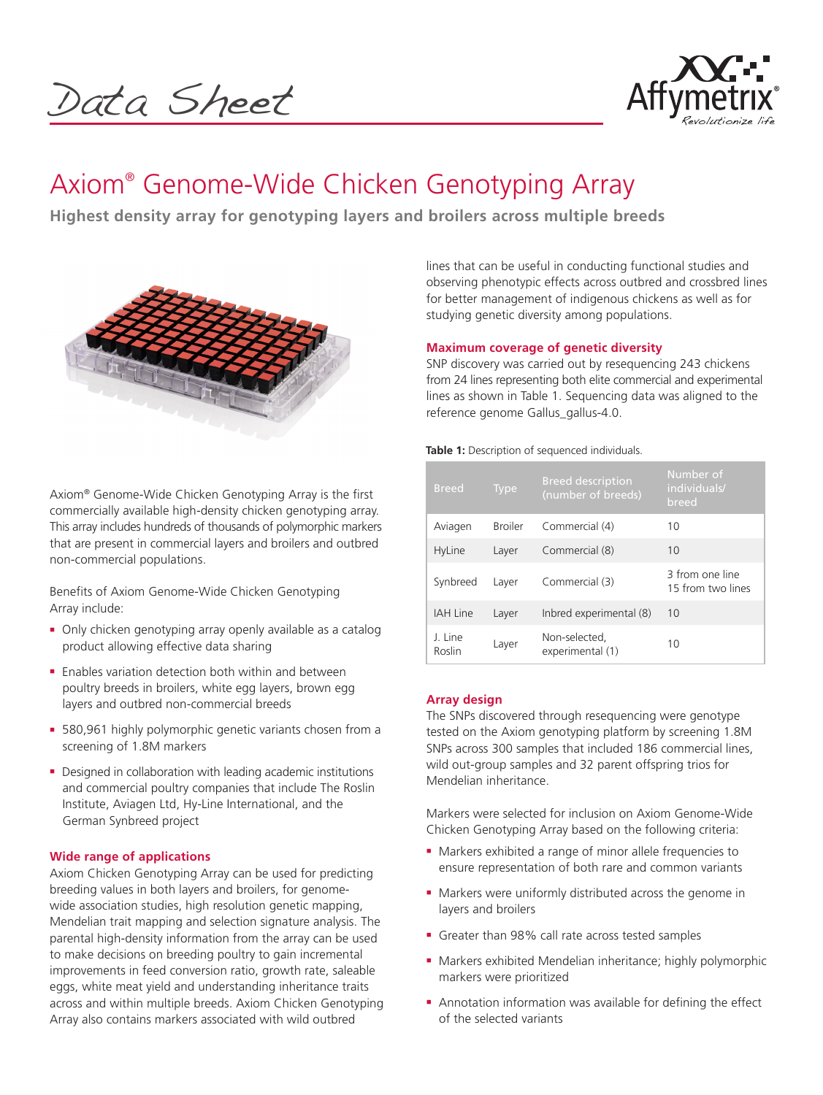Data Sheet



# Axiom® Genome-Wide Chicken Genotyping Array

**Highest density array for genotyping layers and broilers across multiple breeds**



Axiom® Genome-Wide Chicken Genotyping Array is the first commercially available high-density chicken genotyping array. This array includes hundreds of thousands of polymorphic markers that are present in commercial layers and broilers and outbred non-commercial populations.

Benefits of Axiom Genome-Wide Chicken Genotyping Array include:

- Only chicken genotyping array openly available as a catalog product allowing effective data sharing
- $\blacksquare$  Enables variation detection both within and between poultry breeds in broilers, white egg layers, brown egg layers and outbred non-commercial breeds
- **= 580,961 highly polymorphic genetic variants chosen from a** screening of 1.8M markers
- Designed in collaboration with leading academic institutions and commercial poultry companies that include The Roslin Institute, Aviagen Ltd, Hy-Line International, and the German Synbreed project

# **Wide range of applications**

Axiom Chicken Genotyping Array can be used for predicting breeding values in both layers and broilers, for genomewide association studies, high resolution genetic mapping, Mendelian trait mapping and selection signature analysis. The parental high-density information from the array can be used to make decisions on breeding poultry to gain incremental improvements in feed conversion ratio, growth rate, saleable eggs, white meat yield and understanding inheritance traits across and within multiple breeds. Axiom Chicken Genotyping Array also contains markers associated with wild outbred

lines that can be useful in conducting functional studies and observing phenotypic effects across outbred and crossbred lines for better management of indigenous chickens as well as for studying genetic diversity among populations.

# **Maximum coverage of genetic diversity**

SNP discovery was carried out by resequencing 243 chickens from 24 lines representing both elite commercial and experimental lines as shown in Table 1. Sequencing data was aligned to the reference genome Gallus\_gallus-4.0.

**Table 1:** Description of sequenced individuals.

| <b>Breed</b>      | <b>Type</b>    | <b>Breed description</b><br>(number of breeds) | Number of<br>individuals/<br>breed   |
|-------------------|----------------|------------------------------------------------|--------------------------------------|
| Aviagen           | <b>Broiler</b> | Commercial (4)                                 | 10                                   |
| HyLine            | Layer          | Commercial (8)                                 | 10                                   |
| Synbreed          | Layer          | Commercial (3)                                 | 3 from one line<br>15 from two lines |
| <b>IAH Line</b>   | Layer          | Inbred experimental (8)                        | 10                                   |
| J. Line<br>Roslin | Layer          | Non-selected.<br>experimental (1)              | 10                                   |

# **Array design**

The SNPs discovered through resequencing were genotype tested on the Axiom genotyping platform by screening 1.8M SNPs across 300 samples that included 186 commercial lines, wild out-group samples and 32 parent offspring trios for Mendelian inheritance.

Markers were selected for inclusion on Axiom Genome-Wide Chicken Genotyping Array based on the following criteria:

- Markers exhibited a range of minor allele frequencies to ensure representation of both rare and common variants
- Markers were uniformly distributed across the genome in layers and broilers
- <sup>n</sup> Greater than 98% call rate across tested samples
- Markers exhibited Mendelian inheritance; highly polymorphic markers were prioritized
- **Annotation information was available for defining the effect** of the selected variants